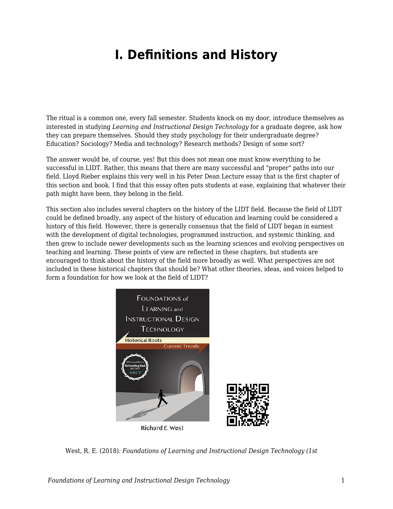## **I. Definitions and History**

The ritual is a common one, every fall semester. Students knock on my door, introduce themselves as interested in studying *Learning and Instructional Design Technology* for a graduate degree, ask how they can prepare themselves. Should they study psychology for their undergraduate degree? Education? Sociology? Media and technology? Research methods? Design of some sort?

The answer would be, of course, yes! But this does not mean one must know everything to be successful in LIDT. Rather, this means that there are many successful and "proper" paths into our field. Lloyd Rieber explains this very well in his Peter Dean Lecture essay that is the first chapter of this section and book. I find that this essay often puts students at ease, explaining that whatever their path might have been, they belong in the field.

This section also includes several chapters on the history of the LIDT field. Because the field of LIDT could be defined broadly, any aspect of the history of education and learning could be considered a history of this field. However, there is generally consensus that the field of LIDT began in earnest with the development of digital technologies, programmed instruction, and systemic thinking, and then grew to include newer developments such as the learning sciences and evolving perspectives on teaching and learning. These points of view are reflected in these chapters, but students are encouraged to think about the history of the field more broadly as well. What perspectives are not included in these historical chapters that should be? What other theories, ideas, and voices helped to form a foundation for how we look at the field of LIDT?



West, R. E. (2018). *Foundations of Learning and Instructional Design Technology (1st*